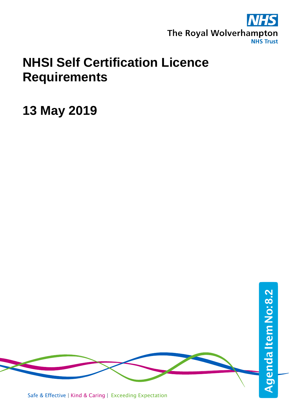

## **NHSI Self Certification Licence Requirements**

**13 May 2019**

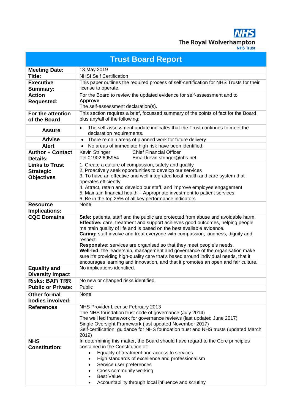The Royal Wolverhampton **NHS Trust** 

**Trust Board Report Meeting Date:** 13 May 2019 **Title:** NHSI Self Certification **Executive Summary:** This paper outlines the required process of self-certification for NHS Trusts for their license to operate. **Requested:** For the Board to review the updated evidence for self-assessment and to **Approve** The self-assessment declaration(s). **For the attention of the Board** This section requires a brief, focussed summary of the points of fact for the Board plus any/all of the following: **Assure** • The self-assessment update indicates that the Trust continues to meet the declaration requirements. Advise • There remain areas of planned work for future delivery. Alert • No areas of immediate high risk have been identified. **Author + Contact**  Kevin Stringer Chief Financial Officer<br>Tel 01902 695954 Email kevin stringer@r Email kevin.stringer@nhs.net **Links to Trust Objectives** 1. Create a culture of compassion, safety and quality 2. Proactively seek opportunities to develop our services 3. To have an effective and well integrated local health and care system that operates efficiently 4. Attract, retain and develop our staff, and improve employee engagement 5. Maintain financial health – Appropriate investment to patient services 6. Be in the top 25% of all key performance indicators **Implications:** None **CQC Domains Safe:** patients, staff and the public are protected from abuse and avoidable harm. **Effective:** care, treatment and support achieves good outcomes, helping people maintain quality of life and is based on the best available evidence. **Caring:** staff involve and treat everyone with compassion, kindness, dignity and respect. **Responsive:** services are organised so that they meet people's needs. **Well-led:** the leadership, management and governance of the organisation make sure it's providing high-quality care that's based around individual needs, that it encourages learning and innovation, and that it promotes an open and fair culture. No implications identified.

**Action** 

**Details:**

**Strategic** 

**Resource** 

|                                                | <b>OITO:</b> 001 11000 ard organicus ou that they moot poople o hoode.<br>Well-led: the leadership, management and governance of the organisation make<br>sure it's providing high-quality care that's based around individual needs, that it<br>encourages learning and innovation, and that it promotes an open and fair culture.                                      |  |  |  |  |
|------------------------------------------------|--------------------------------------------------------------------------------------------------------------------------------------------------------------------------------------------------------------------------------------------------------------------------------------------------------------------------------------------------------------------------|--|--|--|--|
| <b>Equality and</b><br><b>Diversity Impact</b> | No implications identified.                                                                                                                                                                                                                                                                                                                                              |  |  |  |  |
| <b>Risks: BAF/TRR</b>                          | No new or changed risks identified.                                                                                                                                                                                                                                                                                                                                      |  |  |  |  |
| <b>Public or Private:</b>                      | Public                                                                                                                                                                                                                                                                                                                                                                   |  |  |  |  |
| <b>Other formal</b><br>bodies involved:        | None                                                                                                                                                                                                                                                                                                                                                                     |  |  |  |  |
| <b>References</b>                              | NHS Provider License February 2013<br>The NHS foundation trust code of governance (July 2014)<br>The well led framework for governance reviews (last updated June 2017)<br>Single Oversight Framework (last updated November 2017)<br>Self-certification: guidance for NHS foundation trust and NHS trusts (updated March<br>2019)                                       |  |  |  |  |
| <b>NHS</b><br><b>Constitution:</b>             | In determining this matter, the Board should have regard to the Core principles<br>contained in the Constitution of:<br>Equality of treatment and access to services<br>High standards of excellence and professionalism<br>$\bullet$<br>Service user preferences<br>Cross community working<br><b>Best Value</b><br>Accountability through local influence and scrutiny |  |  |  |  |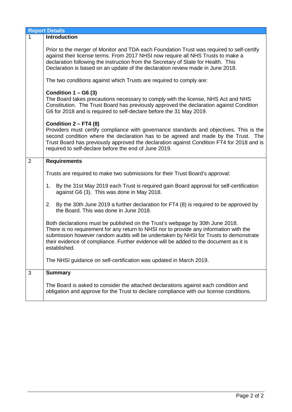|                | <b>Report Details</b>                                                                                                                                                                                                                                                                                                                                                     |  |  |  |
|----------------|---------------------------------------------------------------------------------------------------------------------------------------------------------------------------------------------------------------------------------------------------------------------------------------------------------------------------------------------------------------------------|--|--|--|
| $\mathbf{1}$   | <b>Introduction</b>                                                                                                                                                                                                                                                                                                                                                       |  |  |  |
|                | Prior to the merger of Monitor and TDA each Foundation Trust was required to self-certify<br>against their license terms. From 2017 NHSI now require all NHS Trusts to make a<br>declaration following the instruction from the Secretary of State for Health. This<br>Declaration is based on an update of the declaration review made in June 2018.                     |  |  |  |
|                | The two conditions against which Trusts are required to comply are:                                                                                                                                                                                                                                                                                                       |  |  |  |
|                | Condition $1 - G6(3)$<br>The Board takes precautions necessary to comply with the license, NHS Act and NHS<br>Constitution. The Trust Board has previously approved the declaration against Condition<br>G6 for 2018 and is required to self-declare before the 31 May 2019.                                                                                              |  |  |  |
|                | Condition $2 - FT4$ (8)<br>Providers must certify compliance with governance standards and objectives. This is the<br>second condition where the declaration has to be agreed and made by the Trust. The<br>Trust Board has previously approved the declaration against Condition FT4 for 2018 and is<br>required to self-declare before the end of June 2019.            |  |  |  |
| $\overline{2}$ | <b>Requirements</b>                                                                                                                                                                                                                                                                                                                                                       |  |  |  |
|                | Trusts are required to make two submissions for their Trust Board's approval:                                                                                                                                                                                                                                                                                             |  |  |  |
|                | 1. By the 31st May 2019 each Trust is required gain Board approval for self-certification<br>against G6 (3). This was done in May 2018.                                                                                                                                                                                                                                   |  |  |  |
|                | By the 30th June 2019 a further declaration for FT4 (8) is required to be approved by<br>2.<br>the Board. This was done in June 2018.                                                                                                                                                                                                                                     |  |  |  |
|                | Both declarations must be published on the Trust's webpage by 30th June 2018.<br>There is no requirement for any return to NHSI nor to provide any information with the<br>submission however random audits will be undertaken by NHSI for Trusts to demonstrate<br>their evidence of compliance. Further evidence will be added to the document as it is<br>established. |  |  |  |
|                | The NHSI guidance on self-certification was updated in March 2019.                                                                                                                                                                                                                                                                                                        |  |  |  |
| 3              | <b>Summary</b>                                                                                                                                                                                                                                                                                                                                                            |  |  |  |
|                | The Board is asked to consider the attached declarations against each condition and<br>obligation and approve for the Trust to declare compliance with our license conditions.                                                                                                                                                                                            |  |  |  |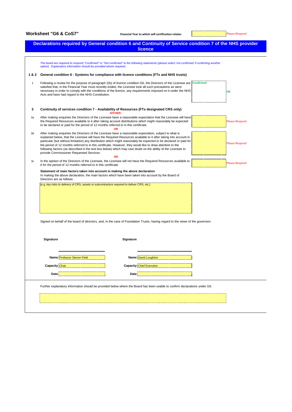|              |                                                                                                                                                                                                                                                                                                                                                                                                                                                                                                                                                                                                                             | licence                                                                                                                                                                                                                                                                                                                                                 |                       |
|--------------|-----------------------------------------------------------------------------------------------------------------------------------------------------------------------------------------------------------------------------------------------------------------------------------------------------------------------------------------------------------------------------------------------------------------------------------------------------------------------------------------------------------------------------------------------------------------------------------------------------------------------------|---------------------------------------------------------------------------------------------------------------------------------------------------------------------------------------------------------------------------------------------------------------------------------------------------------------------------------------------------------|-----------------------|
|              | option). Explanatory information should be provided where required.                                                                                                                                                                                                                                                                                                                                                                                                                                                                                                                                                         | The board are required to respond "Confirmed" or "Not confirmed" to the following statements (please select 'not confirmed' if confirming another                                                                                                                                                                                                       |                       |
| 1&2          |                                                                                                                                                                                                                                                                                                                                                                                                                                                                                                                                                                                                                             | General condition 6 - Systems for compliance with licence conditions (FTs and NHS trusts)                                                                                                                                                                                                                                                               |                       |
| $\mathbf{1}$ | Acts and have had regard to the NHS Constitution.                                                                                                                                                                                                                                                                                                                                                                                                                                                                                                                                                                           | Following a review for the purpose of paragraph 2(b) of licence condition G6, the Directors of the Licensee are Confirmed<br>satisfied that, in the Financial Year most recently ended, the Licensee took all such precautions as were<br>necessary in order to comply with the conditions of the licence, any requirements imposed on it under the NHS | OK                    |
| 3            |                                                                                                                                                                                                                                                                                                                                                                                                                                                                                                                                                                                                                             | Continuity of services condition 7 - Availability of Resources (FTs designated CRS only)<br>EITHER:                                                                                                                                                                                                                                                     |                       |
| 3a           | After making enquiries the Directors of the Licensee have a reasonable expectation that the Licensee will have<br>the Required Resources available to it after taking account distributions which might reasonably be expected<br>to be declared or paid for the period of 12 months referred to in this certificate.                                                                                                                                                                                                                                                                                                       | <b>Please Respond</b>                                                                                                                                                                                                                                                                                                                                   |                       |
| 3b           | After making enquiries the Directors of the Licensee have a reasonable expectation, subject to what is<br>explained below, that the Licensee will have the Required Resources available to it after taking into account in<br>particular (but without limitation) any distribution which might reasonably be expected to be declared or paid for<br>the period of 12 months referred to in this certificate. However, they would like to draw attention to the<br>following factors (as described in the text box below) which may cast doubt on the ability of the Licensee to<br>provide Commissioner Requested Services. | <b>Please Respond</b>                                                                                                                                                                                                                                                                                                                                   |                       |
| 3c           | it for the period of 12 months referred to in this certificate.                                                                                                                                                                                                                                                                                                                                                                                                                                                                                                                                                             | <b>OR</b><br>In the opinion of the Directors of the Licensee, the Licensee will not have the Required Resources available to                                                                                                                                                                                                                            | <b>Please Respond</b> |
|              | Directors are as follows:                                                                                                                                                                                                                                                                                                                                                                                                                                                                                                                                                                                                   | Statement of main factors taken into account in making the above declaration<br>In making the above declaration, the main factors which have been taken into account by the Board of                                                                                                                                                                    |                       |
|              |                                                                                                                                                                                                                                                                                                                                                                                                                                                                                                                                                                                                                             | [e.g. key risks to delivery of CRS, assets or subcontractors required to deliver CRS, etc.]<br>Signed on behalf of the board of directors, and, in the case of Foundation Trusts, having regard to the views of the governors                                                                                                                           |                       |
|              | Signature                                                                                                                                                                                                                                                                                                                                                                                                                                                                                                                                                                                                                   | Signature                                                                                                                                                                                                                                                                                                                                               |                       |
|              | Name Professor Steven Field                                                                                                                                                                                                                                                                                                                                                                                                                                                                                                                                                                                                 | Name David Loughton                                                                                                                                                                                                                                                                                                                                     |                       |
|              | <b>Capacity</b> Chair<br>Date                                                                                                                                                                                                                                                                                                                                                                                                                                                                                                                                                                                               | <b>Capacity Chief Executive</b><br>Date                                                                                                                                                                                                                                                                                                                 |                       |
|              |                                                                                                                                                                                                                                                                                                                                                                                                                                                                                                                                                                                                                             |                                                                                                                                                                                                                                                                                                                                                         |                       |
|              |                                                                                                                                                                                                                                                                                                                                                                                                                                                                                                                                                                                                                             | Further explanatory information should be provided below where the Board has been unable to confirm declarations under G6.                                                                                                                                                                                                                              |                       |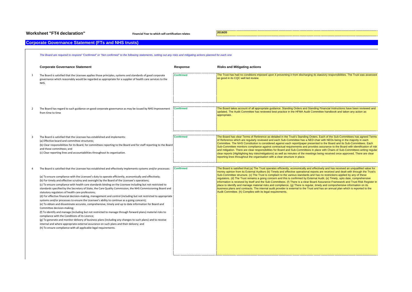## **Worksheet "FT4 declaration" Financial Year to which self-certification relates 2019/20**

## **Corporate Governance Statement (FTs and NHS trusts)**

|    | The Board are required to respond "Confirmed" or "Not confirmed" to the following statements, setting out any risks and mitigating actions planned for each one                                                                                                                                                                                                                                                                                                                                                                                                                                                                                                                                                                                                                                                                                                                                                                                                                                                                                                                                                                                                                                                                                                                                                                                                                                                       |                  |                                                                                                                                                                                                                                                                                                                                                                                                                                                                                                                                                                                                                                                                                                                                                                                                                                                                                                                                                                                                                                |
|----|-----------------------------------------------------------------------------------------------------------------------------------------------------------------------------------------------------------------------------------------------------------------------------------------------------------------------------------------------------------------------------------------------------------------------------------------------------------------------------------------------------------------------------------------------------------------------------------------------------------------------------------------------------------------------------------------------------------------------------------------------------------------------------------------------------------------------------------------------------------------------------------------------------------------------------------------------------------------------------------------------------------------------------------------------------------------------------------------------------------------------------------------------------------------------------------------------------------------------------------------------------------------------------------------------------------------------------------------------------------------------------------------------------------------------|------------------|--------------------------------------------------------------------------------------------------------------------------------------------------------------------------------------------------------------------------------------------------------------------------------------------------------------------------------------------------------------------------------------------------------------------------------------------------------------------------------------------------------------------------------------------------------------------------------------------------------------------------------------------------------------------------------------------------------------------------------------------------------------------------------------------------------------------------------------------------------------------------------------------------------------------------------------------------------------------------------------------------------------------------------|
|    | <b>Corporate Governance Statement</b>                                                                                                                                                                                                                                                                                                                                                                                                                                                                                                                                                                                                                                                                                                                                                                                                                                                                                                                                                                                                                                                                                                                                                                                                                                                                                                                                                                                 | Response         | <b>Risks and Mitigating actions</b>                                                                                                                                                                                                                                                                                                                                                                                                                                                                                                                                                                                                                                                                                                                                                                                                                                                                                                                                                                                            |
| -1 | The Board is satisfied that the Licensee applies those principles, systems and standards of good corporate<br>governance which reasonably would be regarded as appropriate for a supplier of health care services to the<br>NHS.                                                                                                                                                                                                                                                                                                                                                                                                                                                                                                                                                                                                                                                                                                                                                                                                                                                                                                                                                                                                                                                                                                                                                                                      | <b>Confirmed</b> | The Trust has had no conditions imposed upon it preventing it from discharging its statutory responsibilities. The Trust was assessed<br>as good in its CQC well led review.                                                                                                                                                                                                                                                                                                                                                                                                                                                                                                                                                                                                                                                                                                                                                                                                                                                   |
|    | The Board has regard to such guidance on good corporate governance as may be issued by NHS Improvement<br>from time to time                                                                                                                                                                                                                                                                                                                                                                                                                                                                                                                                                                                                                                                                                                                                                                                                                                                                                                                                                                                                                                                                                                                                                                                                                                                                                           | <b>Confirmed</b> | The Board takes account of all appropriate guidance. Standing Orders and Standing Financial Instructions have been reviewed and<br>updated. The Audit Committee has reviewed best practice in the HFMA Audit Committee handbook and taken any action as<br>appropriate.                                                                                                                                                                                                                                                                                                                                                                                                                                                                                                                                                                                                                                                                                                                                                        |
|    | The Board is satisfied that the Licensee has established and implements:<br>(a) Effective board and committee structures;<br>(b) Clear responsibilities for its Board, for committees reporting to the Board and for staff reporting to the Board<br>and those committees; and<br>(c) Clear reporting lines and accountabilities throughout its organisation.                                                                                                                                                                                                                                                                                                                                                                                                                                                                                                                                                                                                                                                                                                                                                                                                                                                                                                                                                                                                                                                         | <b>Confirmed</b> | The Board has clear Terms of Reference as detailed in the Trust's Standing Orders. Each of the Sub-Committees has agreed Terms<br>of Reference which are regularly reviewed and each Sub-Committee has a NED chair with NEDs being in the majority in each<br>Committee. The NHS Constitution is considered against each report/paper presented to the Board and its Sub-Committees. Each<br>Sub-Committee monitors compliance against contractual requirements and provides assurance to the Board with identification of risk<br>and mitigation. There are clear responsibilities for Board and Sub-Committees in place with Chairs of Sub-Committees writing regular<br>clear reports (Highlighting key risks/mitigations) as well as minutes of the meetings being received once approved. There are clear<br>reporting lines throughout the organisation with a clear structure in place.                                                                                                                                 |
|    | The Board is satisfied that the Licensee has established and effectively implements systems and/or processes:<br>(a) To ensure compliance with the Licensee's duty to operate efficiently, economically and effectively;<br>(b) For timely and effective scrutiny and oversight by the Board of the Licensee's operations;<br>(c) To ensure compliance with health care standards binding on the Licensee including but not restricted to<br>standards specified by the Secretary of State, the Care Quality Commission, the NHS Commissioning Board and<br>statutory regulators of health care professions;<br>(d) For effective financial decision-making, management and control (including but not restricted to appropriate<br>systems and/or processes to ensure the Licensee's ability to continue as a going concern);<br>(e) To obtain and disseminate accurate, comprehensive, timely and up to date information for Board and<br>Committee decision-making;<br>(f) To identify and manage (including but not restricted to manage through forward plans) material risks to<br>compliance with the Conditions of its Licence;<br>(g) To generate and monitor delivery of business plans (including any changes to such plans) and to receive<br>internal and where appropriate external assurance on such plans and their delivery; and<br>(h) To ensure compliance with all applicable legal requirements. | <b>Confirmed</b> | The Board is satisfied that:(a) The Trust operates efficiently, economically and effectively and has received an unqualified value for<br>money opinion from its External Auditors (b) Timely and effective operational reports are received and dealt with through the Trust's<br>Sub-Committee structure. (c) The Trust is compliant to the various standards and has no restrictions applied by any of these<br>regulators. (d) The Trust remains a going concern and this is confirmed by External Audit. (e) Timely, upto date, comprehensive<br>information is received by itself and the Sub-Committees. (f) There is a clear Board Assurance Framework and Trust Risk Register in<br>place to identify and manage material risks and compliance. (g) There is regular, timely and comprehensive information on its<br>business plans and contracts. The internal audit provider is external to the Trust and has an annual plan which is reported to the<br>Audit Committee. (h) Complies with its legal requirements. |